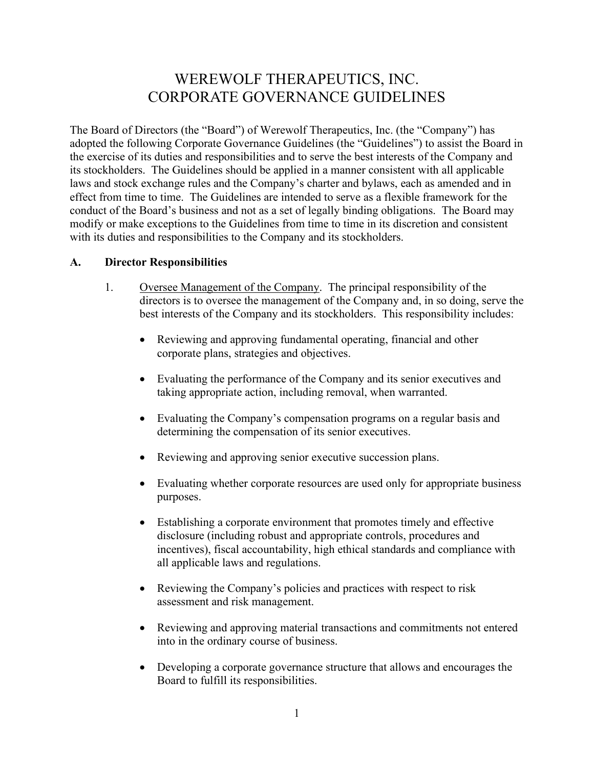# WEREWOLF THERAPEUTICS, INC. CORPORATE GOVERNANCE GUIDELINES

The Board of Directors (the "Board") of Werewolf Therapeutics, Inc. (the "Company") has adopted the following Corporate Governance Guidelines (the "Guidelines") to assist the Board in the exercise of its duties and responsibilities and to serve the best interests of the Company and its stockholders. The Guidelines should be applied in a manner consistent with all applicable laws and stock exchange rules and the Company's charter and bylaws, each as amended and in effect from time to time. The Guidelines are intended to serve as a flexible framework for the conduct of the Board's business and not as a set of legally binding obligations. The Board may modify or make exceptions to the Guidelines from time to time in its discretion and consistent with its duties and responsibilities to the Company and its stockholders.

## **A. Director Responsibilities**

- 1. Oversee Management of the Company. The principal responsibility of the directors is to oversee the management of the Company and, in so doing, serve the best interests of the Company and its stockholders. This responsibility includes:
	- Reviewing and approving fundamental operating, financial and other corporate plans, strategies and objectives.
	- Evaluating the performance of the Company and its senior executives and taking appropriate action, including removal, when warranted.
	- Evaluating the Company's compensation programs on a regular basis and determining the compensation of its senior executives.
	- Reviewing and approving senior executive succession plans.
	- Evaluating whether corporate resources are used only for appropriate business purposes.
	- Establishing a corporate environment that promotes timely and effective disclosure (including robust and appropriate controls, procedures and incentives), fiscal accountability, high ethical standards and compliance with all applicable laws and regulations.
	- Reviewing the Company's policies and practices with respect to risk assessment and risk management.
	- Reviewing and approving material transactions and commitments not entered into in the ordinary course of business.
	- Developing a corporate governance structure that allows and encourages the Board to fulfill its responsibilities.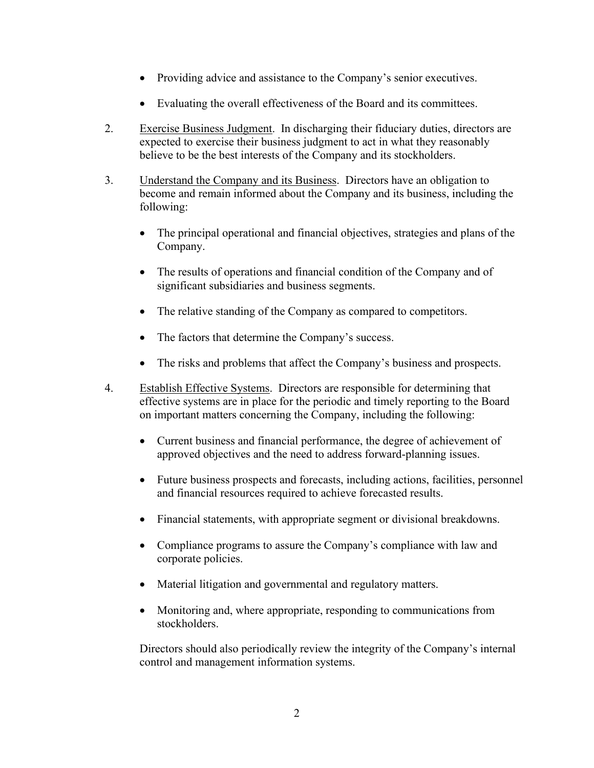- Providing advice and assistance to the Company's senior executives.
- Evaluating the overall effectiveness of the Board and its committees.
- 2. Exercise Business Judgment. In discharging their fiduciary duties, directors are expected to exercise their business judgment to act in what they reasonably believe to be the best interests of the Company and its stockholders.
- 3. Understand the Company and its Business. Directors have an obligation to become and remain informed about the Company and its business, including the following:
	- The principal operational and financial objectives, strategies and plans of the Company.
	- The results of operations and financial condition of the Company and of significant subsidiaries and business segments.
	- The relative standing of the Company as compared to competitors.
	- The factors that determine the Company's success.
	- The risks and problems that affect the Company's business and prospects.
- 4. Establish Effective Systems. Directors are responsible for determining that effective systems are in place for the periodic and timely reporting to the Board on important matters concerning the Company, including the following:
	- Current business and financial performance, the degree of achievement of approved objectives and the need to address forward-planning issues.
	- Future business prospects and forecasts, including actions, facilities, personnel and financial resources required to achieve forecasted results.
	- Financial statements, with appropriate segment or divisional breakdowns.
	- Compliance programs to assure the Company's compliance with law and corporate policies.
	- Material litigation and governmental and regulatory matters.
	- Monitoring and, where appropriate, responding to communications from stockholders.

Directors should also periodically review the integrity of the Company's internal control and management information systems.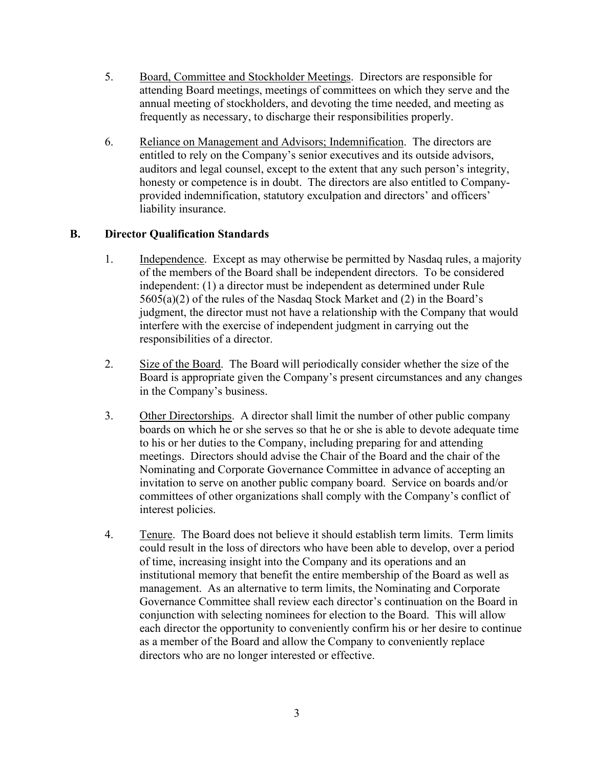- 5. Board, Committee and Stockholder Meetings. Directors are responsible for attending Board meetings, meetings of committees on which they serve and the annual meeting of stockholders, and devoting the time needed, and meeting as frequently as necessary, to discharge their responsibilities properly.
- 6. Reliance on Management and Advisors; Indemnification. The directors are entitled to rely on the Company's senior executives and its outside advisors, auditors and legal counsel, except to the extent that any such person's integrity, honesty or competence is in doubt. The directors are also entitled to Companyprovided indemnification, statutory exculpation and directors' and officers' liability insurance.

# **B. Director Qualification Standards**

- 1. Independence. Except as may otherwise be permitted by Nasdaq rules, a majority of the members of the Board shall be independent directors. To be considered independent: (1) a director must be independent as determined under Rule 5605(a)(2) of the rules of the Nasdaq Stock Market and (2) in the Board's judgment, the director must not have a relationship with the Company that would interfere with the exercise of independent judgment in carrying out the responsibilities of a director.
- 2. Size of the Board. The Board will periodically consider whether the size of the Board is appropriate given the Company's present circumstances and any changes in the Company's business.
- 3. Other Directorships. A director shall limit the number of other public company boards on which he or she serves so that he or she is able to devote adequate time to his or her duties to the Company, including preparing for and attending meetings. Directors should advise the Chair of the Board and the chair of the Nominating and Corporate Governance Committee in advance of accepting an invitation to serve on another public company board. Service on boards and/or committees of other organizations shall comply with the Company's conflict of interest policies.
- 4. Tenure. The Board does not believe it should establish term limits. Term limits could result in the loss of directors who have been able to develop, over a period of time, increasing insight into the Company and its operations and an institutional memory that benefit the entire membership of the Board as well as management. As an alternative to term limits, the Nominating and Corporate Governance Committee shall review each director's continuation on the Board in conjunction with selecting nominees for election to the Board. This will allow each director the opportunity to conveniently confirm his or her desire to continue as a member of the Board and allow the Company to conveniently replace directors who are no longer interested or effective.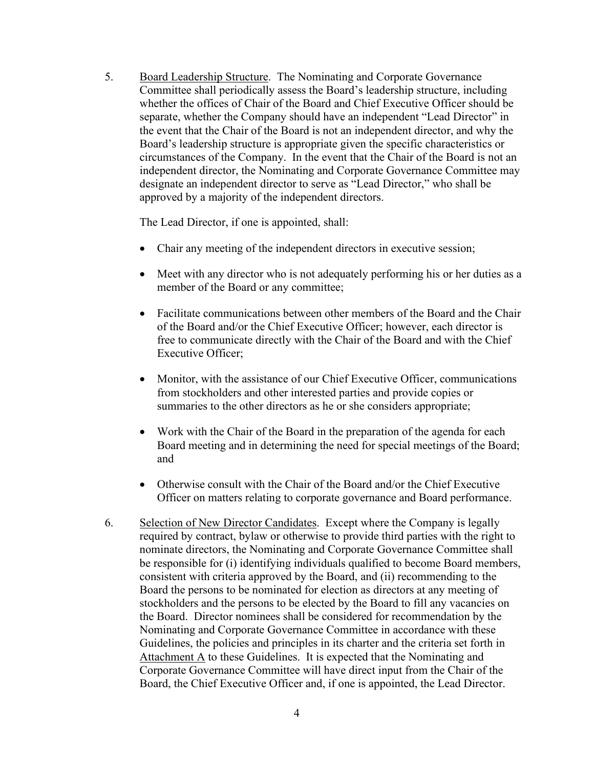5. Board Leadership Structure. The Nominating and Corporate Governance Committee shall periodically assess the Board's leadership structure, including whether the offices of Chair of the Board and Chief Executive Officer should be separate, whether the Company should have an independent "Lead Director" in the event that the Chair of the Board is not an independent director, and why the Board's leadership structure is appropriate given the specific characteristics or circumstances of the Company. In the event that the Chair of the Board is not an independent director, the Nominating and Corporate Governance Committee may designate an independent director to serve as "Lead Director," who shall be approved by a majority of the independent directors.

The Lead Director, if one is appointed, shall:

- Chair any meeting of the independent directors in executive session;
- Meet with any director who is not adequately performing his or her duties as a member of the Board or any committee;
- Facilitate communications between other members of the Board and the Chair of the Board and/or the Chief Executive Officer; however, each director is free to communicate directly with the Chair of the Board and with the Chief Executive Officer;
- Monitor, with the assistance of our Chief Executive Officer, communications from stockholders and other interested parties and provide copies or summaries to the other directors as he or she considers appropriate;
- Work with the Chair of the Board in the preparation of the agenda for each Board meeting and in determining the need for special meetings of the Board; and
- Otherwise consult with the Chair of the Board and/or the Chief Executive Officer on matters relating to corporate governance and Board performance.
- 6. Selection of New Director Candidates. Except where the Company is legally required by contract, bylaw or otherwise to provide third parties with the right to nominate directors, the Nominating and Corporate Governance Committee shall be responsible for (i) identifying individuals qualified to become Board members, consistent with criteria approved by the Board, and (ii) recommending to the Board the persons to be nominated for election as directors at any meeting of stockholders and the persons to be elected by the Board to fill any vacancies on the Board. Director nominees shall be considered for recommendation by the Nominating and Corporate Governance Committee in accordance with these Guidelines, the policies and principles in its charter and the criteria set forth in Attachment A to these Guidelines. It is expected that the Nominating and Corporate Governance Committee will have direct input from the Chair of the Board, the Chief Executive Officer and, if one is appointed, the Lead Director.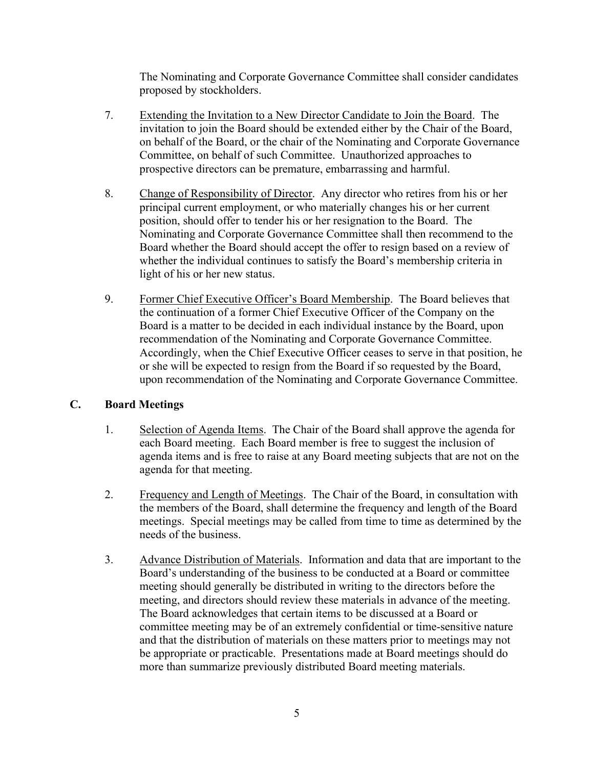The Nominating and Corporate Governance Committee shall consider candidates proposed by stockholders.

- 7. Extending the Invitation to a New Director Candidate to Join the Board. The invitation to join the Board should be extended either by the Chair of the Board, on behalf of the Board, or the chair of the Nominating and Corporate Governance Committee, on behalf of such Committee. Unauthorized approaches to prospective directors can be premature, embarrassing and harmful.
- 8. Change of Responsibility of Director. Any director who retires from his or her principal current employment, or who materially changes his or her current position, should offer to tender his or her resignation to the Board. The Nominating and Corporate Governance Committee shall then recommend to the Board whether the Board should accept the offer to resign based on a review of whether the individual continues to satisfy the Board's membership criteria in light of his or her new status.
- 9. Former Chief Executive Officer's Board Membership. The Board believes that the continuation of a former Chief Executive Officer of the Company on the Board is a matter to be decided in each individual instance by the Board, upon recommendation of the Nominating and Corporate Governance Committee. Accordingly, when the Chief Executive Officer ceases to serve in that position, he or she will be expected to resign from the Board if so requested by the Board, upon recommendation of the Nominating and Corporate Governance Committee.

# **C. Board Meetings**

- 1. Selection of Agenda Items. The Chair of the Board shall approve the agenda for each Board meeting. Each Board member is free to suggest the inclusion of agenda items and is free to raise at any Board meeting subjects that are not on the agenda for that meeting.
- 2. Frequency and Length of Meetings. The Chair of the Board, in consultation with the members of the Board, shall determine the frequency and length of the Board meetings. Special meetings may be called from time to time as determined by the needs of the business.
- 3. Advance Distribution of Materials. Information and data that are important to the Board's understanding of the business to be conducted at a Board or committee meeting should generally be distributed in writing to the directors before the meeting, and directors should review these materials in advance of the meeting. The Board acknowledges that certain items to be discussed at a Board or committee meeting may be of an extremely confidential or time-sensitive nature and that the distribution of materials on these matters prior to meetings may not be appropriate or practicable. Presentations made at Board meetings should do more than summarize previously distributed Board meeting materials.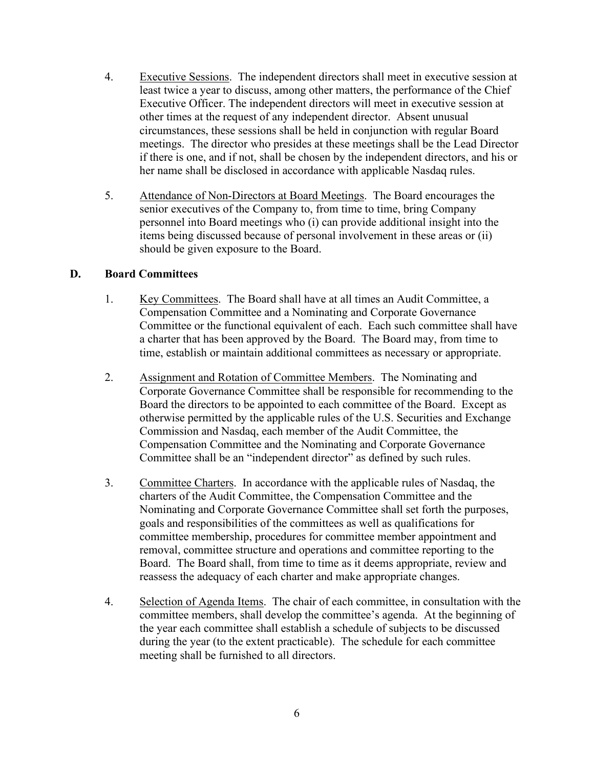- 4. Executive Sessions. The independent directors shall meet in executive session at least twice a year to discuss, among other matters, the performance of the Chief Executive Officer. The independent directors will meet in executive session at other times at the request of any independent director. Absent unusual circumstances, these sessions shall be held in conjunction with regular Board meetings. The director who presides at these meetings shall be the Lead Director if there is one, and if not, shall be chosen by the independent directors, and his or her name shall be disclosed in accordance with applicable Nasdaq rules.
- 5. Attendance of Non-Directors at Board Meetings. The Board encourages the senior executives of the Company to, from time to time, bring Company personnel into Board meetings who (i) can provide additional insight into the items being discussed because of personal involvement in these areas or (ii) should be given exposure to the Board.

## **D. Board Committees**

- 1. Key Committees. The Board shall have at all times an Audit Committee, a Compensation Committee and a Nominating and Corporate Governance Committee or the functional equivalent of each. Each such committee shall have a charter that has been approved by the Board. The Board may, from time to time, establish or maintain additional committees as necessary or appropriate.
- 2. Assignment and Rotation of Committee Members. The Nominating and Corporate Governance Committee shall be responsible for recommending to the Board the directors to be appointed to each committee of the Board. Except as otherwise permitted by the applicable rules of the U.S. Securities and Exchange Commission and Nasdaq, each member of the Audit Committee, the Compensation Committee and the Nominating and Corporate Governance Committee shall be an "independent director" as defined by such rules.
- 3. Committee Charters. In accordance with the applicable rules of Nasdaq, the charters of the Audit Committee, the Compensation Committee and the Nominating and Corporate Governance Committee shall set forth the purposes, goals and responsibilities of the committees as well as qualifications for committee membership, procedures for committee member appointment and removal, committee structure and operations and committee reporting to the Board. The Board shall, from time to time as it deems appropriate, review and reassess the adequacy of each charter and make appropriate changes.
- 4. Selection of Agenda Items. The chair of each committee, in consultation with the committee members, shall develop the committee's agenda. At the beginning of the year each committee shall establish a schedule of subjects to be discussed during the year (to the extent practicable). The schedule for each committee meeting shall be furnished to all directors.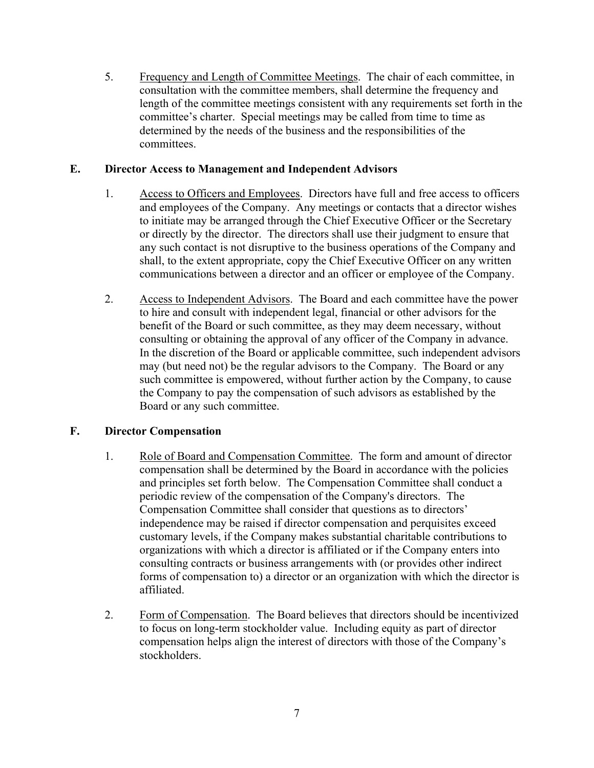5. Frequency and Length of Committee Meetings. The chair of each committee, in consultation with the committee members, shall determine the frequency and length of the committee meetings consistent with any requirements set forth in the committee's charter. Special meetings may be called from time to time as determined by the needs of the business and the responsibilities of the committees.

## **E. Director Access to Management and Independent Advisors**

- 1. Access to Officers and Employees. Directors have full and free access to officers and employees of the Company. Any meetings or contacts that a director wishes to initiate may be arranged through the Chief Executive Officer or the Secretary or directly by the director. The directors shall use their judgment to ensure that any such contact is not disruptive to the business operations of the Company and shall, to the extent appropriate, copy the Chief Executive Officer on any written communications between a director and an officer or employee of the Company.
- 2. Access to Independent Advisors. The Board and each committee have the power to hire and consult with independent legal, financial or other advisors for the benefit of the Board or such committee, as they may deem necessary, without consulting or obtaining the approval of any officer of the Company in advance. In the discretion of the Board or applicable committee, such independent advisors may (but need not) be the regular advisors to the Company. The Board or any such committee is empowered, without further action by the Company, to cause the Company to pay the compensation of such advisors as established by the Board or any such committee.

# **F. Director Compensation**

- 1. Role of Board and Compensation Committee. The form and amount of director compensation shall be determined by the Board in accordance with the policies and principles set forth below. The Compensation Committee shall conduct a periodic review of the compensation of the Company's directors. The Compensation Committee shall consider that questions as to directors' independence may be raised if director compensation and perquisites exceed customary levels, if the Company makes substantial charitable contributions to organizations with which a director is affiliated or if the Company enters into consulting contracts or business arrangements with (or provides other indirect forms of compensation to) a director or an organization with which the director is affiliated.
- 2. Form of Compensation. The Board believes that directors should be incentivized to focus on long-term stockholder value. Including equity as part of director compensation helps align the interest of directors with those of the Company's stockholders.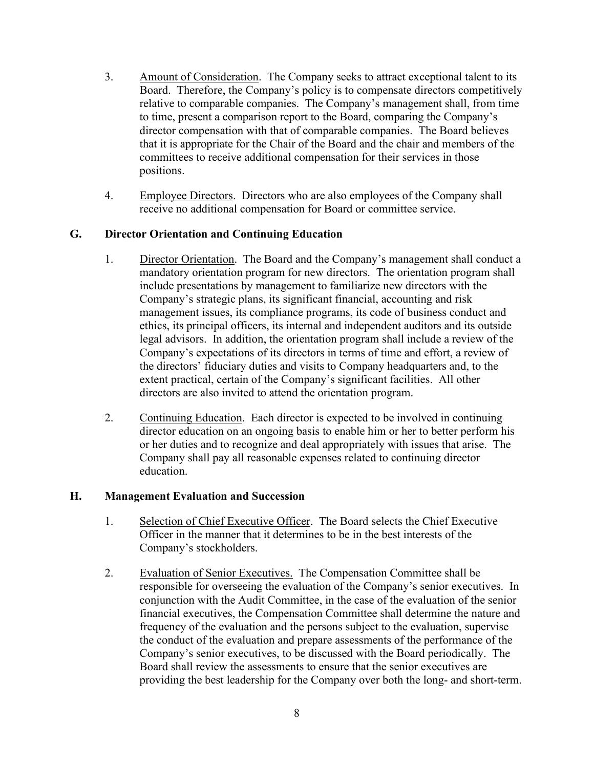- 3. Amount of Consideration. The Company seeks to attract exceptional talent to its Board. Therefore, the Company's policy is to compensate directors competitively relative to comparable companies. The Company's management shall, from time to time, present a comparison report to the Board, comparing the Company's director compensation with that of comparable companies. The Board believes that it is appropriate for the Chair of the Board and the chair and members of the committees to receive additional compensation for their services in those positions.
- 4. Employee Directors. Directors who are also employees of the Company shall receive no additional compensation for Board or committee service.

## **G. Director Orientation and Continuing Education**

- 1. Director Orientation. The Board and the Company's management shall conduct a mandatory orientation program for new directors. The orientation program shall include presentations by management to familiarize new directors with the Company's strategic plans, its significant financial, accounting and risk management issues, its compliance programs, its code of business conduct and ethics, its principal officers, its internal and independent auditors and its outside legal advisors. In addition, the orientation program shall include a review of the Company's expectations of its directors in terms of time and effort, a review of the directors' fiduciary duties and visits to Company headquarters and, to the extent practical, certain of the Company's significant facilities. All other directors are also invited to attend the orientation program.
- 2. Continuing Education. Each director is expected to be involved in continuing director education on an ongoing basis to enable him or her to better perform his or her duties and to recognize and deal appropriately with issues that arise. The Company shall pay all reasonable expenses related to continuing director education.

#### **H. Management Evaluation and Succession**

- 1. Selection of Chief Executive Officer. The Board selects the Chief Executive Officer in the manner that it determines to be in the best interests of the Company's stockholders.
- 2. Evaluation of Senior Executives. The Compensation Committee shall be responsible for overseeing the evaluation of the Company's senior executives. In conjunction with the Audit Committee, in the case of the evaluation of the senior financial executives, the Compensation Committee shall determine the nature and frequency of the evaluation and the persons subject to the evaluation, supervise the conduct of the evaluation and prepare assessments of the performance of the Company's senior executives, to be discussed with the Board periodically. The Board shall review the assessments to ensure that the senior executives are providing the best leadership for the Company over both the long- and short-term.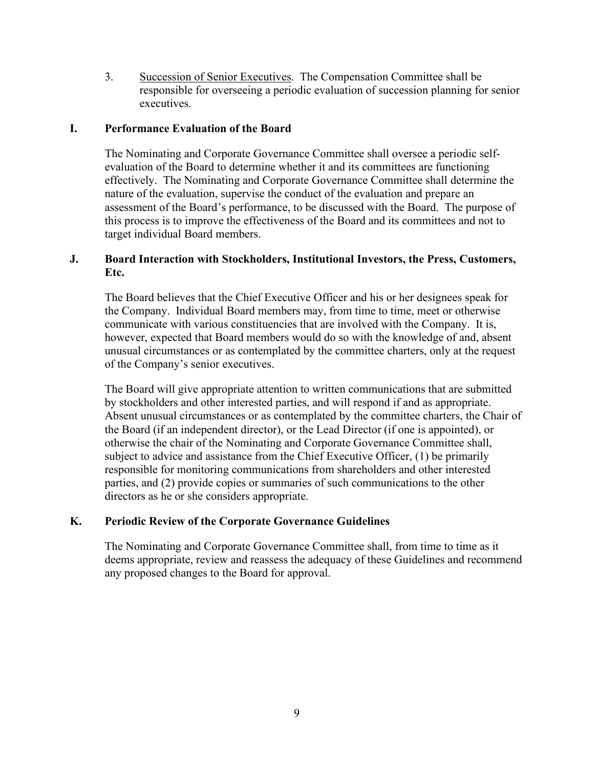3. Succession of Senior Executives. The Compensation Committee shall be responsible for overseeing a periodic evaluation of succession planning for senior executives.

#### **I. Performance Evaluation of the Board**

The Nominating and Corporate Governance Committee shall oversee a periodic selfevaluation of the Board to determine whether it and its committees are functioning effectively. The Nominating and Corporate Governance Committee shall determine the nature of the evaluation, supervise the conduct of the evaluation and prepare an assessment of the Board's performance, to be discussed with the Board. The purpose of this process is to improve the effectiveness of the Board and its committees and not to target individual Board members.

# **J. Board Interaction with Stockholders, Institutional Investors, the Press, Customers, Etc.**

The Board believes that the Chief Executive Officer and his or her designees speak for the Company. Individual Board members may, from time to time, meet or otherwise communicate with various constituencies that are involved with the Company. It is, however, expected that Board members would do so with the knowledge of and, absent unusual circumstances or as contemplated by the committee charters, only at the request of the Company's senior executives.

The Board will give appropriate attention to written communications that are submitted by stockholders and other interested parties, and will respond if and as appropriate. Absent unusual circumstances or as contemplated by the committee charters, the Chair of the Board (if an independent director), or the Lead Director (if one is appointed), or otherwise the chair of the Nominating and Corporate Governance Committee shall, subject to advice and assistance from the Chief Executive Officer, (1) be primarily responsible for monitoring communications from shareholders and other interested parties, and (2) provide copies or summaries of such communications to the other directors as he or she considers appropriate.

# **K. Periodic Review of the Corporate Governance Guidelines**

The Nominating and Corporate Governance Committee shall, from time to time as it deems appropriate, review and reassess the adequacy of these Guidelines and recommend any proposed changes to the Board for approval.